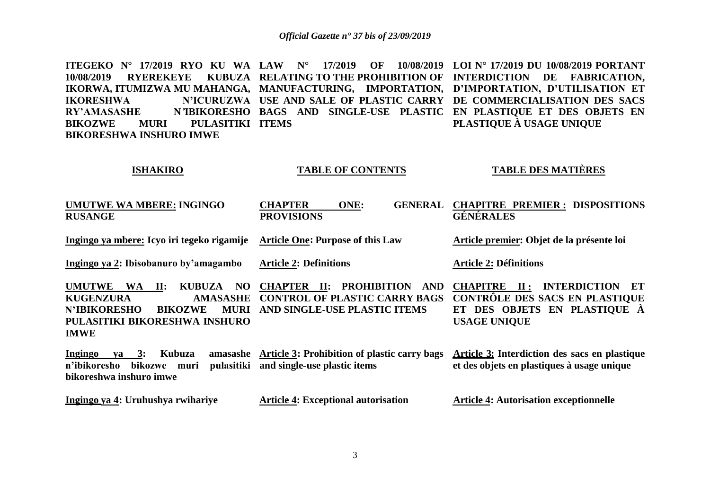**ITEGEKO N° 17/2019 RYO KU WA LAW N° 17/2019 OF 10/08/2019 LOI N° 17/2019 DU 10/08/2019 PORTANT**  10/08/2019 RYEREKEYE KUBUZA RELATING TO THE PROHIBITION OF INTERDICTION DE FABRICATION, IKORWA, ITUMIZWA MU MAHANGA, MANUFACTURING, IMPORTATION, D'IMPORTATION, D'UTILISATION ET **IKORESHWA N'ICURUZWA USE AND SALE OF PLASTIC CARRY DE COMMERCIALISATION DES SACS RY'AMASASHE N***'***IBIKORESHO BAGS AND SINGLE-USE PLASTIC EN PLASTIQUE ET DES OBJETS EN BIKOZWE MURI PULASITIKI ITEMS BIKORESHWA INSHURO IMWE PLASTIQUE À USAGE UNIQUE** 

#### **ISHAKIRO**

#### **TABLE OF CONTENTS**

# **TABLE DES MATIÈRES**

| <b>UMUTWE WA MBERE: INGINGO</b><br><b>RUSANGE</b>                                                                                                                                                             | ONE:<br><b>GENERAL</b><br><b>CHAPTER</b><br><b>PROVISIONS</b>                                                        | <b>CHAPITRE PREMIER: DISPOSITIONS</b><br><b>GÉNÉRALES</b>                                                                                                 |
|---------------------------------------------------------------------------------------------------------------------------------------------------------------------------------------------------------------|----------------------------------------------------------------------------------------------------------------------|-----------------------------------------------------------------------------------------------------------------------------------------------------------|
| Ingingo ya mbere: Icyo iri tegeko rigamije                                                                                                                                                                    | <b>Article One: Purpose of this Law</b>                                                                              | Article premier: Objet de la présente loi                                                                                                                 |
| Ingingo ya 2: Ibisobanuro by'amagambo                                                                                                                                                                         | <b>Article 2: Definitions</b>                                                                                        | <b>Article 2: Définitions</b>                                                                                                                             |
| <b>UMUTWE</b><br><b>WA</b><br><b>KUBUZA</b><br>$\mathbf{II}$ :<br>NO.<br><b>KUGENZURA</b><br><b>AMASASHE</b><br><b>N'IBIKORESHO</b><br><b>BIKOZWE</b><br>MURI<br>PULASITIKI BIKORESHWA INSHURO<br><b>IMWE</b> | <b>CHAPTER II: PROHIBITION</b><br><b>AND</b><br><b>CONTROL OF PLASTIC CARRY BAGS</b><br>AND SINGLE-USE PLASTIC ITEMS | <b>INTERDICTION</b><br><b>CHAPITRE</b><br>$\mathbf{II}$ :<br>-ET<br>CONTRÔLE DES SACS EN PLASTIQUE<br>ET DES OBJETS EN PLASTIQUE À<br><b>USAGE UNIQUE</b> |
| <b>Ingingo</b><br>Kubuza<br>amasashe<br>$ya \quad 3:$<br>pulasitiki<br>n'ibikoresho<br>bikozwe muri<br>bikoreshwa inshuro imwe                                                                                | Article 3: Prohibition of plastic carry bags<br>and single-use plastic items                                         | <b>Article 3:</b> Interdiction des sacs en plastique<br>et des objets en plastiques à usage unique                                                        |
| Ingingo ya 4: Uruhushya rwihariye                                                                                                                                                                             | <b>Article 4: Exceptional autorisation</b>                                                                           | <b>Article 4: Autorisation exceptionnelle</b>                                                                                                             |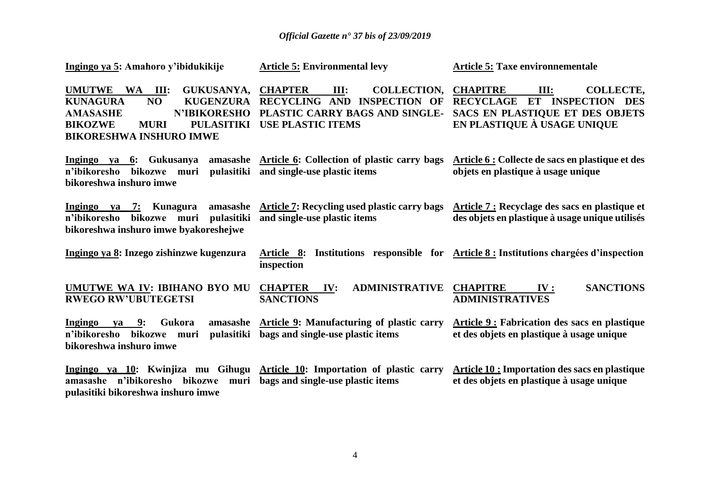| Ingingo ya 5: Amahoro y'ibidukikije                                                                                                                                                                                            | <b>Article 5: Environmental levy</b>                                                                                                      | <b>Article 5: Taxe environnementale</b>                                                                                               |
|--------------------------------------------------------------------------------------------------------------------------------------------------------------------------------------------------------------------------------|-------------------------------------------------------------------------------------------------------------------------------------------|---------------------------------------------------------------------------------------------------------------------------------------|
| <b>UMUTWE</b><br>$WA$ III:<br><b>GUKUSANYA,</b><br>NO<br><b>KUGENZURA</b><br><b>KUNAGURA</b><br><b>N'IBIKORESHO</b><br><b>AMASASHE</b><br><b>BIKOZWE</b><br><b>PULASITIKI</b><br><b>MURI</b><br><b>BIKORESHWA INSHURO IMWE</b> | <b>CHAPTER</b><br>III:<br><b>COLLECTION.</b><br>RECYCLING AND INSPECTION OF<br>PLASTIC CARRY BAGS AND SINGLE-<br><b>USE PLASTIC ITEMS</b> | <b>CHAPITRE</b><br>III:<br>COLLECTE,<br>RECYCLAGE ET INSPECTION DES<br>SACS EN PLASTIQUE ET DES OBJETS<br>EN PLASTIQUE À USAGE UNIQUE |
| Ingingo ya 6: Gukusanya<br>pulasitiki<br>n'ibikoresho<br>bikozwe muri<br>bikoreshwa inshuro imwe                                                                                                                               | amasashe Article 6: Collection of plastic carry bags<br>and single-use plastic items                                                      | Article 6 : Collecte de sacs en plastique et des<br>objets en plastique à usage unique                                                |
| amasashe<br>Ingingo ya 7: Kunagura<br>pulasitiki<br>n'ibikoresho<br>bikozwe muri<br>bikoreshwa inshuro imwe byakoreshejwe                                                                                                      | <b>Article 7: Recycling used plastic carry bags</b><br>and single-use plastic items                                                       | Article 7 : Recyclage des sacs en plastique et<br>des objets en plastique à usage unique utilisés                                     |
| Ingingo ya 8: Inzego zishinzwe kugenzura                                                                                                                                                                                       | Article 8:<br>inspection                                                                                                                  | Institutions responsible for <u>Article 8:</u> Institutions charges d'inspection                                                      |
| UMUTWE WA IV: IBIHANO BYO MU<br><b>RWEGO RW'UBUTEGETSI</b>                                                                                                                                                                     | <b>ADMINISTRATIVE</b><br><b>CHAPTER IV:</b><br><b>SANCTIONS</b>                                                                           | <b>CHAPITRE</b><br><b>SANCTIONS</b><br>IV:<br><b>ADMINISTRATIVES</b>                                                                  |
| Gukora<br>amasashe<br>Ingingo<br>ya 9:<br>pulasitiki<br>n'ibikoresho<br>bikozwe<br>muri<br>bikoreshwa inshuro imwe                                                                                                             | <b>Article 9: Manufacturing of plastic carry</b><br>bags and single-use plastic items                                                     | <b>Article 9: Fabrication des sacs en plastique</b><br>et des objets en plastique à usage unique                                      |
| Ingingo va 10: Kwinjiza mu Gihugu Article 10: Importation of plastic carry<br>amasashe n'ibikoresho bikozwe<br>muri<br>pulasitiki bikoreshwa inshuro imwe                                                                      | bags and single-use plastic items                                                                                                         | <b>Article 10: Importation des sacs en plastique</b><br>et des objets en plastique à usage unique                                     |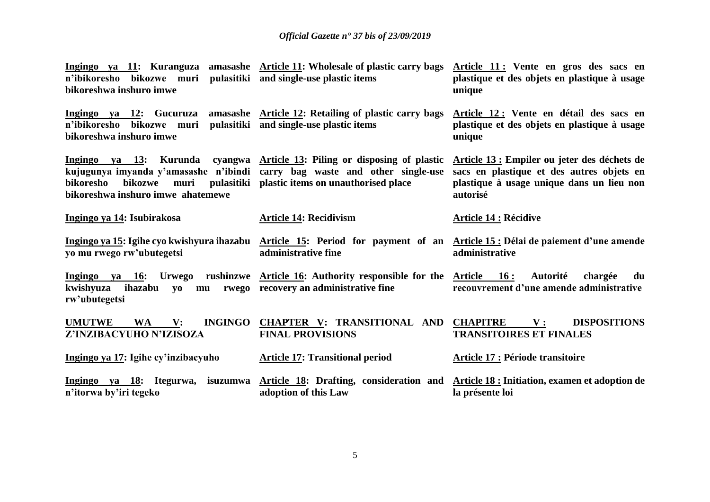| n'ibikoresho bikozwe muri pulasitiki and single-use-plastic-items<br>bikoreshwa inshuro imwe | Ingingo ya 11: Kuranguza amasashe Article 11: Wholesale of plastic carry bags                                                                                                                             | Article 11: Vente en gros des sacs en<br>plastique et des objets en plastique à usage<br>unique                                                    |
|----------------------------------------------------------------------------------------------|-----------------------------------------------------------------------------------------------------------------------------------------------------------------------------------------------------------|----------------------------------------------------------------------------------------------------------------------------------------------------|
| Ingingo ya 12: Gucuruza<br>n'ibikoresho<br>bikozwe muri<br>bikoreshwa inshuro imwe           | amasashe Article 12: Retailing of plastic carry bags<br>pulasitiki and single-use plastic items                                                                                                           | Article 12 : Vente en détail des sacs en<br>plastique et des objets en plastique à usage<br>unique                                                 |
| bikoresho<br>bikozwe muri<br>bikoreshwa inshuro imwe ahatemewe                               | Ingingo ya 13: Kurunda cyangwa Article 13: Piling or disposing of plastic<br>kujugunya imyanda y'amasashe n'ibindi carry bag waste and other single-use<br>pulasitiki plastic items on unauthorised place | Article 13 : Empiler ou jeter des déchets de<br>sacs en plastique et des autres objets en<br>plastique à usage unique dans un lieu non<br>autorisé |
| Ingingo ya 14: Isubirakosa                                                                   | <b>Article 14: Recidivism</b>                                                                                                                                                                             | <b>Article 14 : Récidive</b>                                                                                                                       |
| yo mu rwego rw'ubutegetsi                                                                    | administrative fine                                                                                                                                                                                       | Ingingo ya 15: Igihe cyo kwishyura ihazabu Article 15: Period for payment of an Article 15: Délai de paiement d'une amende<br>administrative       |
| kwishyuza<br>ihazabu<br><b>VO</b><br>mu<br>rw'ubutegetsi                                     | <u>Ingingo ya 16:</u> Urwego rushinzwe <u>Article 16:</u> Authority responsible for the <u>Article 16:</u><br>rwego recovery an administrative fine                                                       | Autorité chargée<br>du<br>recouvrement d'une amende administrative                                                                                 |
| <b>INGINGO</b><br><b>UMUTWE</b><br><b>WA</b><br>$\mathbf{V}$ :<br>Z'INZIBACYUHO N'IZISOZA    | <b>CHAPTER V: TRANSITIONAL AND</b><br><b>FINAL PROVISIONS</b>                                                                                                                                             | <b>CHAPITRE</b><br><b>DISPOSITIONS</b><br>${\bf V}$ :<br><b>TRANSITOIRES ET FINALES</b>                                                            |
| Ingingo ya 17: Igihe cy'inzibacyuho                                                          | <b>Article 17: Transitional period</b>                                                                                                                                                                    | <b>Article 17 : Période transitoire</b>                                                                                                            |
| n'itorwa by'iri tegeko                                                                       | Ingingo ya 18: Itegurwa, isuzumwa Article 18: Drafting, consideration and<br>adoption of this Law                                                                                                         | <b>Article 18 : Initiation, examen et adoption de</b><br>la présente loi                                                                           |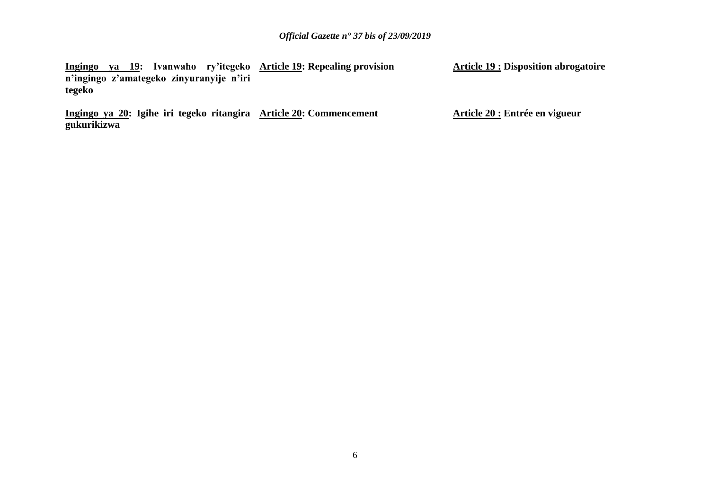**Ingingo ya 19: Ivanwaho ry'itegeko Article 19: Repealing provision n'ingingo z'amategeko zinyuranyije n'iri tegeko Article 19 : Disposition abrogatoire**

**Ingingo ya 20: Igihe iri tegeko ritangira Article 20: Commencement gukurikizwa**

**Article 20 : Entrée en vigueur**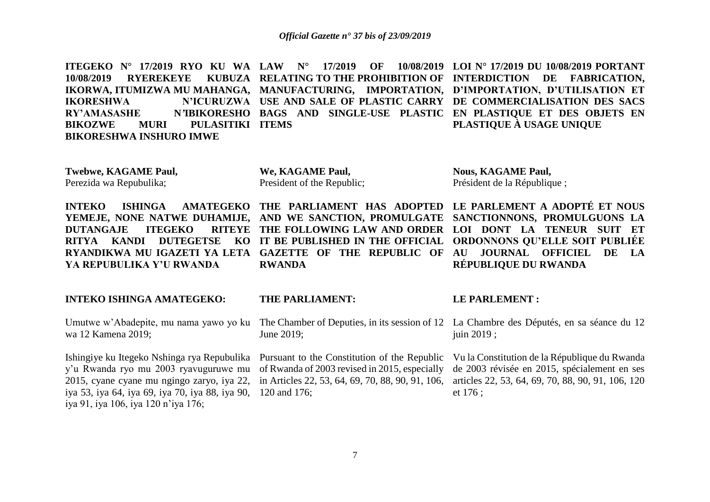**ITEGEKO N° 17/2019 RYO KU WA LAW N° 17/2019 OF 10/08/2019 10/08/2019 RYEREKEYE** IKORWA, ITUMIZWA MU MAHANGA, MANUFACTURING, IMPORTATION, D'IMPORTATION, D'UTILISATION ET **IKORESHWA N'ICURUZWA USE AND SALE OF PLASTIC CARRY DE COMMERCIALISATION DES SACS RY'AMASASHE N***'***IBIKORESHO BAGS AND SINGLE-USE PLASTIC EN PLASTIQUE ET DES OBJETS EN BIKOZWE MURI PULASITIKI ITEMS BIKORESHWA INSHURO IMWE RELATING TO THE PROHIBITION OF INTERDICTION DE FABRICATION, LOI N° 17/2019 DU 10/08/2019 PORTANT PLASTIQUE À USAGE UNIQUE** 

**Twebwe, KAGAME Paul,**  Perezida wa Repubulika;

**We, KAGAME Paul,**  President of the Republic;

**INTEKO ISHINGA AMATEGEKO THE PARLIAMENT HAS ADOPTED LE PARLEMENT A ADOPTÉ ET NOUS DUTANGAJE ITEGEKO RITYA KANDI DUTEGETSE KO IT BE PUBLISHED IN THE OFFICIAL YA REPUBULIKA Y'U RWANDA** 

### **INTEKO ISHINGA AMATEGEKO:**

Umutwe w'Abadepite, mu nama yawo yo ku wa 12 Kamena 2019;

Ishingiye ku Itegeko Nshinga rya Repubulika Pursuant to the Constitution of the Republic y'u Rwanda ryo mu 2003 ryavuguruwe mu of Rwanda of 2003 revised in 2015, especially 2015, cyane cyane mu ngingo zaryo, iya 22, in Articles 22, 53, 64, 69, 70, 88, 90, 91, 106, iya 53, iya 64, iya 69, iya 70, iya 88, iya 90, 120 and 176; iya 91, iya 106, iya 120 n'iya 176;

#### **THE PARLIAMENT:**

**RWANDA**

June 2019;

# **Nous, KAGAME Paul,**  Président de la République ;

**YEMEJE, NONE NATWE DUHAMIJE, AND WE SANCTION, PROMULGATE SANCTIONNONS, PROMULGUONS LA**  RYANDIKWA MU IGAZETI YA LETA GAZETTE OF THE REPUBLIC OF AU JOURNAL OFFICIEL DE LA **THE FOLLOWING LAW AND ORDER LOI DONT LA TENEUR SUIT ET ORDONNONS QU'ELLE SOIT PUBLIÉE RÉPUBLIQUE DU RWANDA** 

#### **LE PARLEMENT :**

The Chamber of Deputies, in its session of 12 La Chambre des Députés, en sa séance du 12 juin 2019 ;

> Vu la Constitution de la République du Rwanda de 2003 révisée en 2015, spécialement en ses articles 22, 53, 64, 69, 70, 88, 90, 91, 106, 120 et 176 ;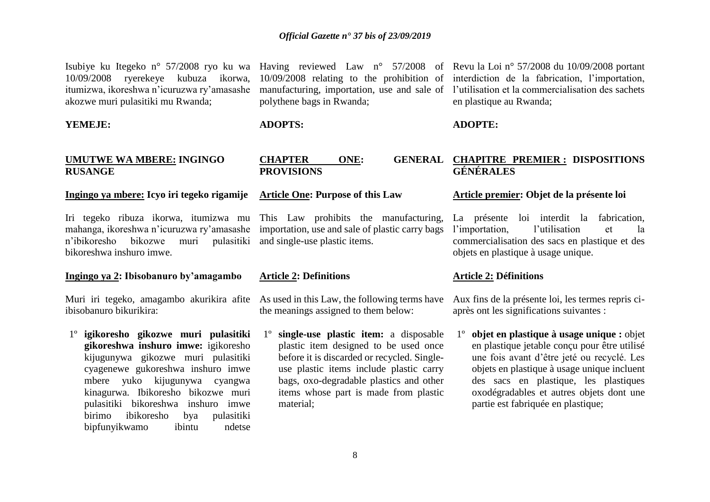10/09/2008 ryerekeye kubuza ikorwa, 10/09/2008 relating to the prohibition of itumizwa, ikoreshwa n'icuruzwa ry'amasashe manufacturing, importation, use and sale of akozwe muri pulasitiki mu Rwanda;

#### **YEMEJE:**

# **UMUTWE WA MBERE: INGINGO RUSANGE**

# **Ingingo ya mbere: Icyo iri tegeko rigamije**

Iri tegeko ribuza ikorwa, itumizwa mu This Law prohibits the manufacturing, mahanga, ikoreshwa n'icuruzwa ry'amasashe importation, use and sale of plastic carry bags n'ibikoresho bikozwe bikoreshwa inshuro imwe.

#### **Ingingo ya 2: Ibisobanuro by'amagambo**

Muri iri tegeko, amagambo akurikira afite As used in this Law, the following terms have ibisobanuro bikurikira:

1º **igikoresho gikozwe muri pulasitiki gikoreshwa inshuro imwe:** igikoresho kijugunywa gikozwe muri pulasitiki cyagenewe gukoreshwa inshuro imwe mbere yuko kijugunywa cyangwa kinagurwa. Ibikoresho bikozwe muri pulasitiki bikoreshwa inshuro imwe birimo ibikoresho bya pulasitiki bipfunyikwamo ibintu ndetse

polythene bags in Rwanda;

### **ADOPTS:**

# **PROVISIONS**

# **Article One: Purpose of this Law**

muri pulasitiki and single-use plastic items.

#### **Article 2: Definitions**

the meanings assigned to them below:

1º **single-use plastic item:** a disposable plastic item designed to be used once before it is discarded or recycled. Singleuse plastic items include plastic carry bags, oxo-degradable plastics and other items whose part is made from plastic material;

Isubiye ku Itegeko n° 57/2008 ryo ku wa Having reviewed Law n° 57/2008 of Revu la Loi n° 57/2008 du 10/09/2008 portant interdiction de la fabrication, l'importation, l'utilisation et la commercialisation des sachets en plastique au Rwanda;

# **ADOPTE:**

# **CHAPTER ONE: GENERAL CHAPITRE PREMIER : DISPOSITIONS GÉNÉRALES**

# **Article premier: Objet de la présente loi**

La présente loi interdit la fabrication, l'importation, l'utilisation et la commercialisation des sacs en plastique et des objets en plastique à usage unique.

# **Article 2: Définitions**

Aux fins de la présente loi, les termes repris ciaprès ont les significations suivantes :

1º **objet en plastique à usage unique :** objet en plastique jetable conçu pour être utilisé une fois avant d'être jeté ou recyclé. Les objets en plastique à usage unique incluent des sacs en plastique, les plastiques oxodégradables et autres objets dont une partie est fabriquée en plastique;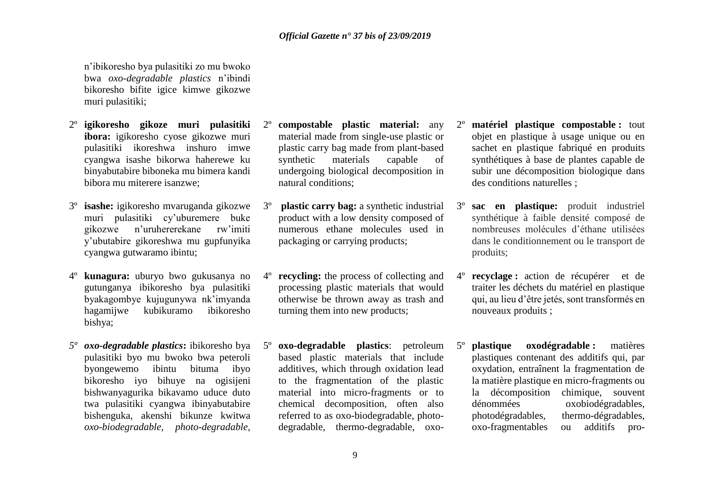n'ibikoresho bya pulasitiki zo mu bwoko bwa *oxo-degradable plastics* n'ibindi bikoresho bifite igice kimwe gikozwe muri pulasitiki;

- 2º **igikoresho gikoze muri pulasitiki ibora:** igikoresho cyose gikozwe muri pulasitiki ikoreshwa inshuro imwe cyangwa isashe bikorwa haherewe ku binyabutabire biboneka mu bimera kandi bibora mu miterere isanzwe;
- 3º **isashe:** igikoresho mvaruganda gikozwe muri pulasitiki cy'uburemere buke gikozwe n'uruhererekane rw'imiti y'ubutabire gikoreshwa mu gupfunyika cyangwa gutwaramo ibintu;
- 4º **kunagura:** uburyo bwo gukusanya no gutunganya ibikoresho bya pulasitiki byakagombye kujugunywa nk'imyanda hagamijwe kubikuramo ibikoresho bishya;
- *5º oxo-degradable plastics***:** ibikoresho bya pulasitiki byo mu bwoko bwa peteroli byongewemo ibintu bituma ibyo bikoresho iyo bihuye na ogisijeni bishwanyagurika bikavamo uduce duto twa pulasitiki cyangwa ibinyabutabire bishenguka, akenshi bikunze kwitwa *oxo-biodegradable, photo-degradable,*
- 2º **compostable plastic material:** any material made from single-use plastic or plastic carry bag made from plant-based synthetic materials capable of undergoing biological decomposition in natural conditions;
- 3º **plastic carry bag:** a synthetic industrial product with a low density composed of numerous ethane molecules used in packaging or carrying products;
- 4º **recycling:** the process of collecting and processing plastic materials that would otherwise be thrown away as trash and turning them into new products;
- 5º **oxo-degradable plastics**: petroleum based plastic materials that include additives, which through oxidation lead to the fragmentation of the plastic material into micro-fragments or to chemical decomposition, often also referred to as oxo-biodegradable, photodegradable, thermo-degradable, oxo-
- 2º **matériel plastique compostable :** tout objet en plastique à usage unique ou en sachet en plastique fabriqué en produits synthétiques à base de plantes capable de subir une décomposition biologique dans des conditions naturelles ;
- 3º **sac en plastique:** produit industriel synthétique à faible densité composé de nombreuses molécules d'éthane utilisées dans le conditionnement ou le transport de produits;
- 4º **recyclage :** action de récupérer et de traiter les déchets du matériel en plastique qui, au lieu d'être jetés, sont transformés en nouveaux produits ;
- 5º **plastique oxodégradable :** matières plastiques contenant des additifs qui, par oxydation, entraînent la fragmentation de la matière plastique en micro-fragments ou la décomposition chimique, souvent dénommées oxobiodégradables, photodégradables, thermo-dégradables, oxo-fragmentables ou additifs pro-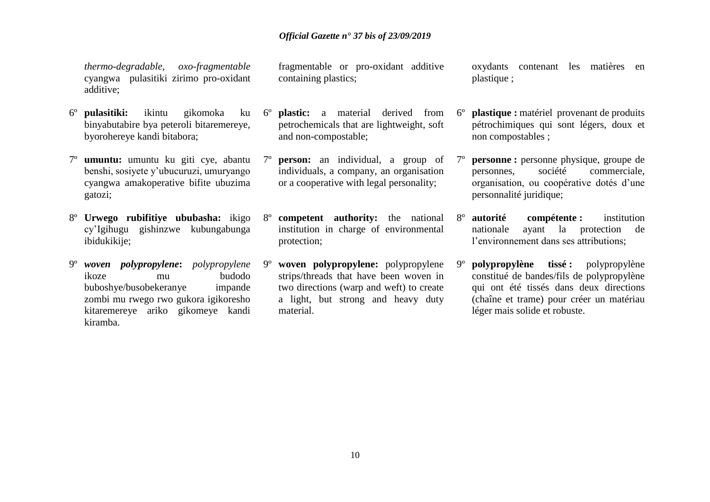*thermo-degradable, oxo-fragmentable* cyangwa pulasitiki zirimo pro-oxidant additive;

- 6º **pulasitiki:** ikintu gikomoka ku binyabutabire bya peteroli bitaremereye, byorohereye kandi bitabora;
- 7º **umuntu:** umuntu ku giti cye, abantu benshi, sosiyete y'ubucuruzi, umuryango cyangwa amakoperative bifite ubuzima gatozi;
- 8º **Urwego rubifitiye ububasha:** ikigo cy'Igihugu gishinzwe kubungabunga ibidukikije;
- 9º *woven polypropylene***:** *polypropylene* ikoze mu budodo buboshye/busobekeranye impande zombi mu rwego rwo gukora igikoresho kitaremereye ariko gikomeye kandi kiramba.

fragmentable or pro-oxidant additive containing plastics;

- 6º **plastic:** a material derived from petrochemicals that are lightweight, soft and non-compostable;
- 7º **person:** an individual, a group of individuals, a company, an organisation or a cooperative with legal personality;
- 8º **competent authority:** the national institution in charge of environmental protection;
- 9º **woven polypropylene:** polypropylene strips/threads that have been woven in two directions (warp and weft) to create a light, but strong and heavy duty material.

oxydants contenant les matières en plastique ;

- 6º **plastique :** matériel provenant de produits pétrochimiques qui sont légers, doux et non compostables ;
- 7º **personne :** personne physique, groupe de personnes, société commerciale, organisation, ou coopérative dotés d'une personnalité juridique;
- 8º **autorité compétente :** institution nationale ayant la protection de l'environnement dans ses attributions;
- 9º **polypropylène tissé :** polypropylène constitué de bandes/fils de polypropylène qui ont été tissés dans deux directions (chaîne et trame) pour créer un matériau léger mais solide et robuste.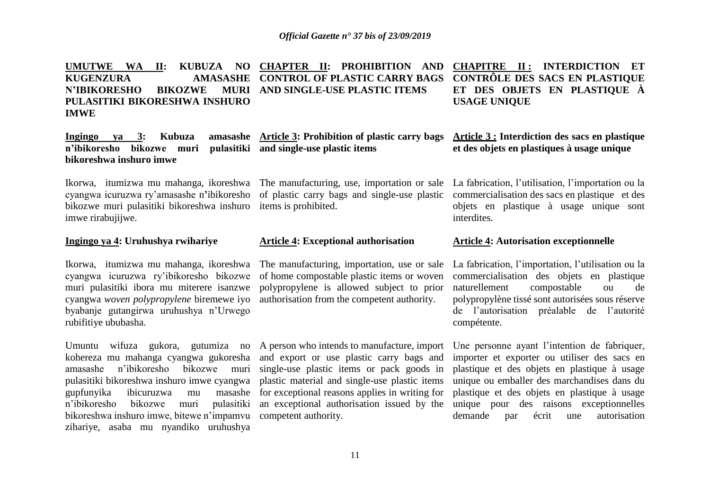**UMUTWE WA II: KUBUZA NO CHAPTER II: PROHIBITION AND KUGENZURA N'IBIKORESHO BIKOZWE PULASITIKI BIKORESHWA INSHURO IMWE CONTROL OF PLASTIC CARRY BAGS AND SINGLE-USE PLASTIC ITEMS CHAPITRE II : INTERDICTION ET CONTRÔLE DES SACS EN PLASTIQUE ET DES OBJETS EN PLASTIQUE À USAGE UNIQUE** 

**Ingingo ya 3: Kubuza amasashe Article 3: Prohibition of plastic carry bags n'ibikoresho bikozwe muri pulasitiki and single-use plastic items bikoreshwa inshuro imwe** 

cyangwa icuruzwa ry'amasashe n**'**ibikoresho of plastic carry bags and single-use plastic bikozwe muri pulasitiki bikoreshwa inshuro items is prohibited. imwe rirabujijwe.

# **Ingingo ya 4: Uruhushya rwihariye**

Ikorwa, itumizwa mu mahanga, ikoreshwa cyangwa icuruzwa ry'ibikoresho bikozwe muri pulasitiki ibora mu miterere isanzwe cyangwa *woven polypropylene* biremewe iyo authorisation from the competent authority. byabanje gutangirwa uruhushya n'Urwego rubifitiye ububasha.

n'ibikoresho bikozwe muri bikoreshwa inshuro imwe, bitewe n'impamvu competent authority. zihariye, asaba mu nyandiko uruhushya

#### **Article 4: Exceptional authorisation**

The manufacturing, importation, use or sale of home compostable plastic items or woven polypropylene is allowed subject to prior

Umuntu wifuza gukora, gutumiza no A person who intends to manufacture, import kohereza mu mahanga cyangwa gukoresha and export or use plastic carry bags and amasashe n'ibikoresho bikozwe muri single-use plastic items or pack goods in pulasitiki bikoreshwa inshuro imwe cyangwa plastic material and single-use plastic items gupfunyika ibicuruzwa mu masashe for exceptional reasons applies in writing for pulasitiki an exceptional authorisation issued by the

**Article 3 : Interdiction des sacs en plastique**

**et des objets en plastiques à usage unique** 

Ikorwa, itumizwa mu mahanga, ikoreshwa The manufacturing, use, importation or sale La fabrication, l'utilisation, l'importation ou la commercialisation des sacs en plastique et des objets en plastique à usage unique sont interdites.

#### **Article 4: Autorisation exceptionnelle**

La fabrication, l'importation, l'utilisation ou la commercialisation des objets en plastique naturellement compostable ou de polypropylène tissé sont autorisées sous réserve de l'autorisation préalable de l'autorité compétente.

Une personne ayant l'intention de fabriquer, importer et exporter ou utiliser des sacs en plastique et des objets en plastique à usage unique ou emballer des marchandises dans du plastique et des objets en plastique à usage unique pour des raisons exceptionnelles demande par écrit une autorisation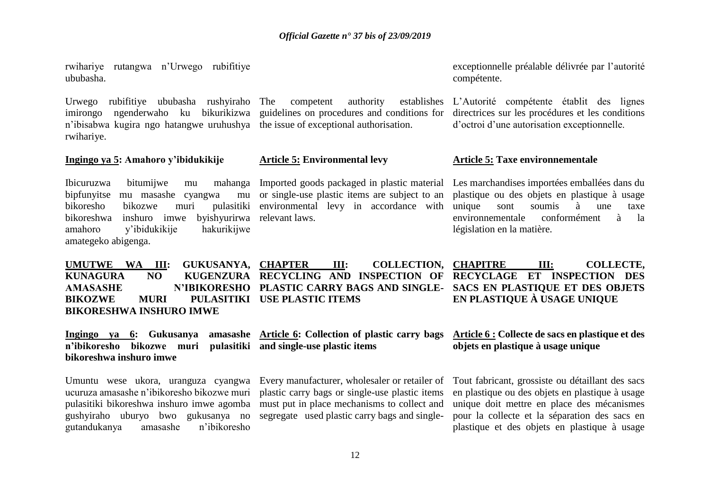rwihariye rutangwa n'Urwego rubifitiye ububasha.

Urwego rubifitiye ububasha rushyiraho imirongo ngenderwaho ku bikurikizwa guidelines on procedures and conditions for n'ibisabwa kugira ngo hatangwe uruhushya the issue of exceptional authorisation. rwihariye.

**Ingingo ya 5: Amahoro y'ibidukikije** 

Ibicuruzwa bitumijwe mu bipfunyitse mu masashe cyangwa bikoresho bikozwe muri pulasitiki environmental levy in accordance with bikoreshwa inshuro imwe byishyurirwa relevant laws. amahoro y'ibidukikije hakurikijwe amategeko abigenga.

competent authority establishes

# **Article 5: Environmental levy**

mu or single-use plastic items are subject to an

exceptionnelle préalable délivrée par l'autorité compétente.

L'Autorité compétente établit des lignes directrices sur les procédures et les conditions d'octroi d'une autorisation exceptionnelle.

# **Article 5: Taxe environnementale**

Imported goods packaged in plastic material Les marchandises importées emballées dans du plastique ou des objets en plastique à usage unique sont soumis à une taxe environnementale conformément à la législation en la matière.

**CHAPTER III: COLLECTION, CHAPITRE III: COLLECTE, EN PLASTIQUE À USAGE UNIQUE**

UMUTWE WA III: GUKUSANYA, CHAPTER **KUNAGURA NO KUGENZURA RECYCLING AND INSPECTION OF RECYCLAGE ET INSPECTION DES AMASASHE N'IBIKORESHO PLASTIC CARRY BAGS AND SINGLE-SACS EN PLASTIQUE ET DES OBJETS BIKOZWE MURI PULASITIKI USE PLASTIC ITEMS BIKORESHWA INSHURO IMWE**

**n'ibikoresho bikozwe muri pulasitiki and single-use plastic items bikoreshwa inshuro imwe** 

ucuruza amasashe n'ibikoresho bikozwe muri plastic carry bags or single-use plastic items pulasitiki bikoreshwa inshuro imwe agomba must put in place mechanisms to collect and gushyiraho uburyo bwo gukusanya no segregate used plastic carry bags and singlegutandukanya amasashe n'ibikoresho

**Ingingo ya 6: Gukusanya amasashe Article 6: Collection of plastic carry bags** 

Umuntu wese ukora, uranguza cyangwa Every manufacturer, wholesaler or retailer of

# **Article 6 : Collecte de sacs en plastique et des objets en plastique à usage unique**

Tout fabricant, grossiste ou détaillant des sacs en plastique ou des objets en plastique à usage unique doit mettre en place des mécanismes pour la collecte et la séparation des sacs en plastique et des objets en plastique à usage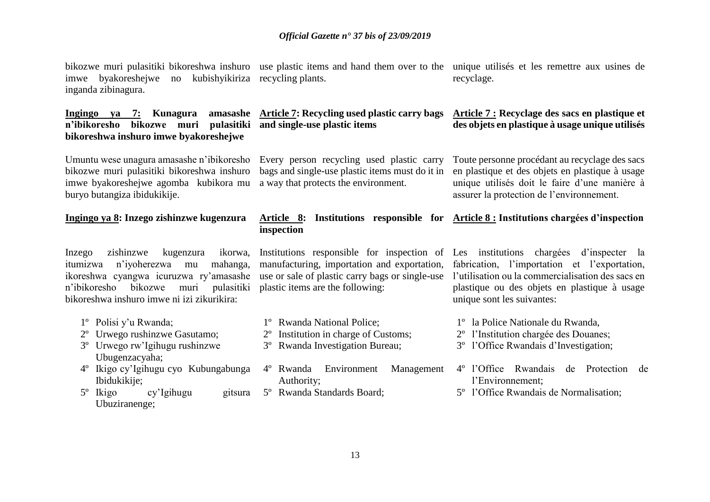bikozwe muri pulasitiki bikoreshwa inshuro use plastic items and hand them over to the imwe byakoreshejwe no kubishyikiriza recycling plants. inganda zibinagura.

**n'ibikoresho bikozwe muri pulasitiki and single-use plastic items bikoreshwa inshuro imwe byakoreshejwe**

Umuntu wese unagura amasashe n'ibikoresho Every person recycling used plastic carry bikozwe muri pulasitiki bikoreshwa inshuro imwe byakoreshejwe agomba kubikora mu a way that protects the environment. buryo butangiza ibidukikije.

# **Ingingo ya 8: Inzego zishinzwe kugenzura**

itumizwa n'iyoherezwa mu mahanga, ikoreshwa cyangwa icuruzwa ry'amasashe n'ibikoresho bikozwe muri pulasitiki plastic items are the following: bikoreshwa inshuro imwe ni izi zikurikira:

- 1º Polisi y'u Rwanda;
- 2º Urwego rushinzwe Gasutamo;
- 3º Urwego rw'Igihugu rushinzwe Ubugenzacyaha;
- 4º Ikigo cy'Igihugu cyo Kubungabunga Ibidukikije;
- 5º Ikigo cy'Igihugu gitsura Ubuziranenge;

# **Ingingo ya 7: Kunagura amasashe Article 7: Recycling used plastic carry bags**

bags and single-use plastic items must do it in

# **Article 8: Institutions responsible for Article 8 : Institutions chargées d'inspection inspection**

manufacturing, importation and exportation, use or sale of plastic carry bags or single-use

- 1º Rwanda National Police;
- 2º Institution in charge of Customs;
- 3º Rwanda Investigation Bureau;
- 4º Rwanda Environment Management Authority;
- 5º Rwanda Standards Board;

unique utilisés et les remettre aux usines de recyclage.

# **Article 7 : Recyclage des sacs en plastique et des objets en plastique à usage unique utilisés**

Toute personne procédant au recyclage des sacs en plastique et des objets en plastique à usage unique utilisés doit le faire d'une manière à assurer la protection de l'environnement.

Inzego zishinzwe kugenzura ikorwa, Institutions responsible for inspection of Les institutions chargées d'inspecter la fabrication, l'importation et l'exportation, l'utilisation ou la commercialisation des sacs en plastique ou des objets en plastique à usage unique sont les suivantes:

- 1º la Police Nationale du Rwanda,
- 2º l'Institution chargée des Douanes;
- 3º l'Office Rwandais d'Investigation;
- 4º l'Office Rwandais de Protection de l'Environnement;
- 5º l'Office Rwandais de Normalisation;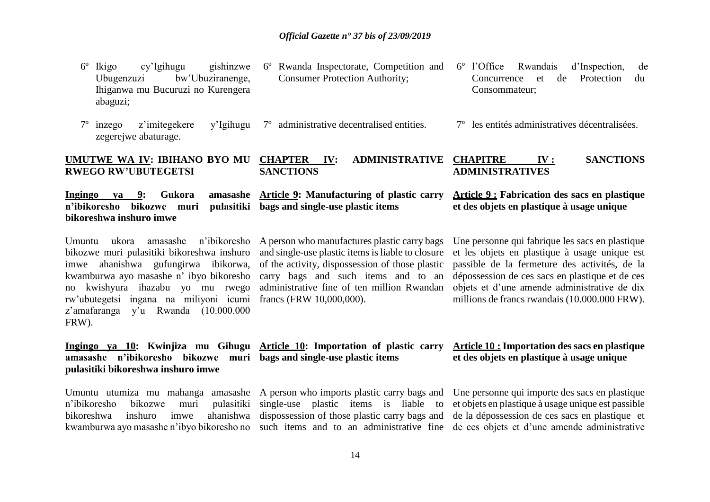| $6^{\circ}$<br>Ikigo<br>cy'Igihugu<br>gishinzwe<br>bw'Ubuziranenge,<br>Ubugenzuzi<br>Ihiganwa mu Bucuruzi no Kurengera<br>abaguzi;                                                                                                                                                                              | 6° Rwanda Inspectorate, Competition and<br><b>Consumer Protection Authority;</b>                                                                                                                                                                                      | 6° l'Office<br>Rwandais<br>d'Inspection,<br>de<br>de<br>Protection<br>Concurrence<br>et<br>du<br>Consommateur;                                                                                                                                                                                        |
|-----------------------------------------------------------------------------------------------------------------------------------------------------------------------------------------------------------------------------------------------------------------------------------------------------------------|-----------------------------------------------------------------------------------------------------------------------------------------------------------------------------------------------------------------------------------------------------------------------|-------------------------------------------------------------------------------------------------------------------------------------------------------------------------------------------------------------------------------------------------------------------------------------------------------|
| z'imitegekere<br>$7^{\circ}$<br>inzego<br>y'Igihugu<br>zegerejwe abaturage.                                                                                                                                                                                                                                     | administrative decentralised entities.<br>$7^{\circ}$                                                                                                                                                                                                                 | 7 <sup>°</sup> les entités administratives décentralisées.                                                                                                                                                                                                                                            |
| UMUTWE WA IV: IBIHANO BYO MU<br><b>RWEGO RW'UBUTEGETSI</b>                                                                                                                                                                                                                                                      | <b>CHAPTER</b><br><b>ADMINISTRATIVE</b><br>IV:<br><b>SANCTIONS</b>                                                                                                                                                                                                    | <b>CHAPITRE</b><br><b>SANCTIONS</b><br>IV:<br><b>ADMINISTRATIVES</b>                                                                                                                                                                                                                                  |
| Gukora<br>amasashe<br>Ingingo<br><b>va</b> 9:<br>n'ibikoresho<br>bikozwe muri<br>pulasitiki<br>bikoreshwa inshuro imwe                                                                                                                                                                                          | <b>Article 9: Manufacturing of plastic carry</b><br>bags and single-use plastic items                                                                                                                                                                                 | <b>Article 9: Fabrication des sacs en plastique</b><br>et des objets en plastique à usage unique                                                                                                                                                                                                      |
| Umuntu<br>amasashe<br>n'ibikoresho<br>ukora<br>bikozwe muri pulasitiki bikoreshwa inshuro<br>ahanishwa gufungirwa ibikorwa,<br>imwe<br>kwamburwa ayo masashe n' ibyo bikoresho<br>no kwishyura ihazabu yo mu rwego<br>rw'ubutegetsi ingana na miliyoni icumi<br>y'u Rwanda (10.000.000<br>z'amafaranga<br>FRW). | A person who manufactures plastic carry bags<br>and single-use plastic items is liable to closure<br>of the activity, dispossession of those plastic<br>carry bags and such items and to an<br>administrative fine of ten million Rwandan<br>francs (FRW 10,000,000). | Une personne qui fabrique les sacs en plastique<br>et les objets en plastique à usage unique est<br>passible de la fermeture des activités, de la<br>dépossession de ces sacs en plastique et de ces<br>objets et d'une amende administrative de dix<br>millions de francs rwandais (10.000.000 FRW). |
| Ingingo va 10: Kwinjiza mu Gihugu Article 10: Importation of plastic carry<br>amasashe n'ibikoresho bikozwe<br>muri<br>pulasitiki bikoreshwa inshuro imwe                                                                                                                                                       | bags and single-use plastic items                                                                                                                                                                                                                                     | <b>Article 10: Importation des sacs en plastique</b><br>et des objets en plastique à usage unique                                                                                                                                                                                                     |
| Umuntu utumiza mu mahanga amasashe<br>n'ibikoresho<br>pulasitiki<br>bikozwe<br>muri<br>inshuro<br>ahanishwa<br>bikoreshwa<br>imwe<br>kwamburwa ayo masashe n'ibyo bikoresho no                                                                                                                                  | A person who imports plastic carry bags and<br>single-use plastic items is liable to<br>dispossession of those plastic carry bags and<br>such items and to an administrative fine                                                                                     | Une personne qui importe des sacs en plastique<br>et objets en plastique à usage unique est passible<br>de la dépossession de ces sacs en plastique et<br>de ces objets et d'une amende administrative                                                                                                |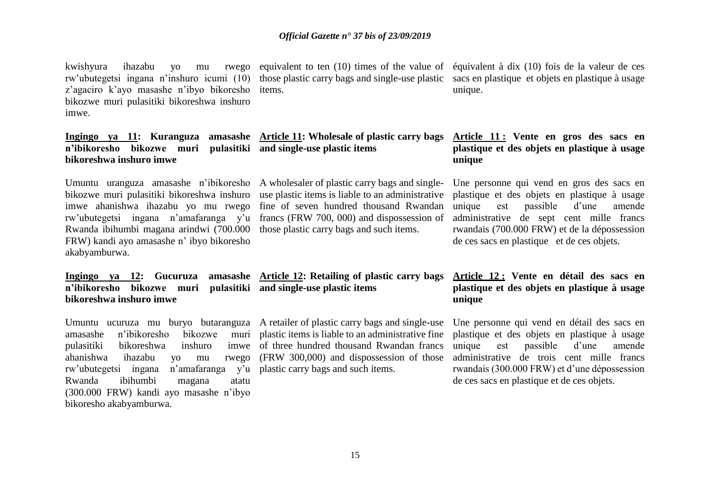kwishyura ihazabu yo mu rw'ubutegetsi ingana n'inshuro icumi (10) those plastic carry bags and single-use plastic z'agaciro k'ayo masashe n'ibyo bikoresho items. bikozwe muri pulasitiki bikoreshwa inshuro imwe.

# **n'ibikoresho bikozwe muri pulasitiki and single-use plastic items bikoreshwa inshuro imwe**

bikozwe muri pulasitiki bikoreshwa inshuro use plastic items is liable to an administrative imwe ahanishwa ihazabu yo mu rwego fine of seven hundred thousand Rwandan rw'ubutegetsi ingana n'amafaranga y'u francs (FRW 700, 000) and dispossession of Rwanda ibihumbi magana arindwi (700.000 those plastic carry bags and such items. FRW) kandi ayo amasashe n' ibyo bikoresho akabyamburwa.

**n'ibikoresho bikozwe muri pulasitiki and single-use plastic items bikoreshwa inshuro imwe** 

Umuntu ucuruza mu buryo butaranguza A retailer of plastic carry bags and single-use amasashe n'ibikoresho bikozwe pulasitiki bikoreshwa inshuro ahanishwa ihazabu yo mu rw'ubutegetsi ingana Rwanda ibihumbi magana atatu (300.000 FRW) kandi ayo masashe n'ibyo bikoresho akabyamburwa.

rwego equivalent to ten  $(10)$  times of the value of

# **Ingingo ya 11: Kuranguza amasashe Article 11: Wholesale of plastic carry bags**

Umuntu uranguza amasashe n'ibikoresho A wholesaler of plastic carry bags and single-

# **Ingingo ya 12: Gucuruza amasashe Article 12: Retailing of plastic carry bags**

plastic items is liable to an administrative fine imwe of three hundred thousand Rwandan francs (FRW 300,000) and dispossession of those  $n$ 'amafaranga  $y'u$  plastic carry bags and such items.

équivalent à dix (10) fois de la valeur de ces sacs en plastique et objets en plastique à usage unique.

# **Article 11 : Vente en gros des sacs en plastique et des objets en plastique à usage unique**

Une personne qui vend en gros des sacs en plastique et des objets en plastique à usage unique est passible d'une amende administrative de sept cent mille francs rwandais (700.000 FRW) et de la dépossession de ces sacs en plastique et de ces objets.

# **Article 12 : Vente en détail des sacs en plastique et des objets en plastique à usage unique**

Une personne qui vend en détail des sacs en plastique et des objets en plastique à usage unique est passible d'une amende administrative de trois cent mille francs rwandais (300.000 FRW) et d'une dépossession de ces sacs en plastique et de ces objets.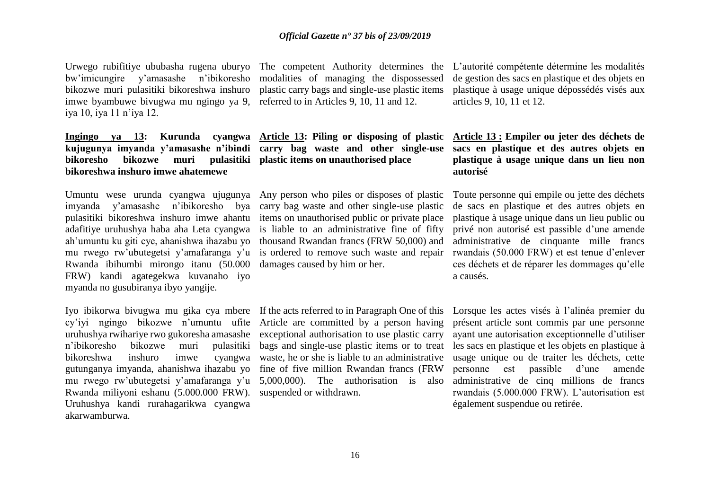Urwego rubifitiye ububasha rugena uburyo The competent Authority determines the bw'imicungire y'amasashe n'ibikoresho modalities of managing the dispossessed bikozwe muri pulasitiki bikoreshwa inshuro plastic carry bags and single-use plastic items imwe byambuwe bivugwa mu ngingo ya 9, referred to in Articles 9, 10, 11 and 12. iya 10, iya 11 n'iya 12.

# **Ingingo ya 13: Kurunda cyangwa Article 13: Piling or disposing of plastic kujugunya imyanda y'amasashe n'ibindi carry bag waste and other single-use bikoresho bikozwe muri pulasitiki plastic items on unauthorised place bikoreshwa inshuro imwe ahatemewe**

imyanda y'amasashe n'ibikoresho bya carry bag waste and other single-use plastic pulasitiki bikoreshwa inshuro imwe ahantu items on unauthorised public or private place adafitiye uruhushya haba aha Leta cyangwa is liable to an administrative fine of fifty ah'umuntu ku giti cye, ahanishwa ihazabu yo thousand Rwandan francs (FRW 50,000) and mu rwego rw'ubutegetsi y'amafaranga y'u is ordered to remove such waste and repair Rwanda ibihumbi mirongo itanu (50.000 damages caused by him or her. FRW) kandi agategekwa kuvanaho iyo myanda no gusubiranya ibyo yangije.

Iyo ibikorwa bivugwa mu gika cya mbere If the acts referred to in Paragraph One of this cy'iyi ngingo bikozwe n'umuntu ufite Article are committed by a person having uruhushya rwihariye rwo gukoresha amasashe exceptional authorisation to use plastic carry n'ibikoresho bikozwe muri bikoreshwa inshuro imwe gutunganya imyanda, ahanishwa ihazabu yo fine of five million Rwandan francs (FRW mu rwego rw'ubutegetsi y'amafaranga y'u 5,000,000). The authorisation is also Rwanda miliyoni eshanu (5.000.000 FRW). suspended or withdrawn. Uruhushya kandi rurahagarikwa cyangwa akarwamburwa.

Umuntu wese urunda cyangwa ujugunya Any person who piles or disposes of plastic

bags and single-use plastic items or to treat waste, he or she is liable to an administrative

L'autorité compétente détermine les modalités de gestion des sacs en plastique et des objets en plastique à usage unique dépossédés visés aux articles 9, 10, 11 et 12.

# **Article 13 : Empiler ou jeter des déchets de sacs en plastique et des autres objets en plastique à usage unique dans un lieu non autorisé**

Toute personne qui empile ou jette des déchets de sacs en plastique et des autres objets en plastique à usage unique dans un lieu public ou privé non autorisé est passible d'une amende administrative de cinquante mille francs rwandais (50.000 FRW) et est tenue d'enlever ces déchets et de réparer les dommages qu'elle a causés.

Lorsque les actes visés à l'alinéa premier du présent article sont commis par une personne ayant une autorisation exceptionnelle d'utiliser les sacs en plastique et les objets en plastique à usage unique ou de traiter les déchets, cette personne est passible d'une amende administrative de cinq millions de francs rwandais (5.000.000 FRW). L'autorisation est également suspendue ou retirée.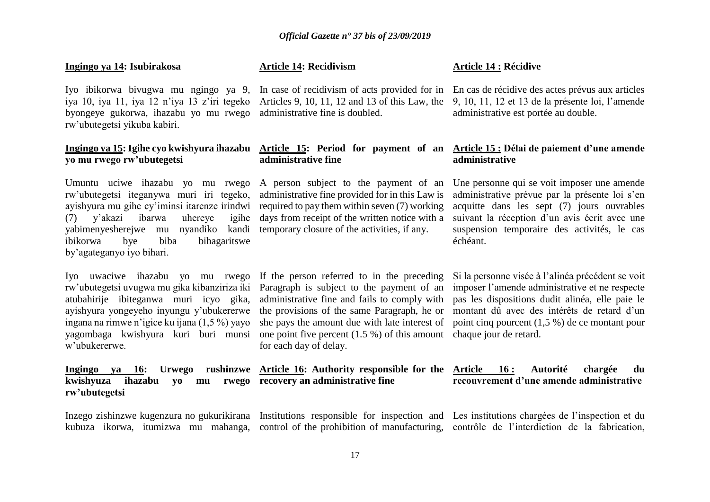# **Ingingo ya 14: Isubirakosa**

Iyo ibikorwa bivugwa mu ngingo ya 9, In case of recidivism of acts provided for in byongeye gukorwa, ihazabu yo mu rwego administrative fine is doubled. rw'ubutegetsi yikuba kabiri.

# **Ingingo ya 15: Igihe cyo kwishyura ihazabu Article 15: Period for payment of an yo mu rwego rw'ubutegetsi**

Umuntu uciwe ihazabu yo mu rwego A person subject to the payment of an rw'ubutegetsi iteganywa muri iri tegeko, administrative fine provided for in this Law is ayishyura mu gihe cy'iminsi itarenze irindwi required to pay them within seven (7) working  $(7)$  v'akazi ibarwa uhereve yabimenyesherejwe mu nyandiko kandi temporary closure of the activities, if any. ibikorwa bye biba bihagaritswe by'agateganyo iyo bihari.

rw'ubutegetsi uvugwa mu gika kibanziriza iki Paragraph is subject to the payment of an atubahirije ibiteganwa muri icyo gika, ayishyura yongeyeho inyungu y'ubukererwe ingana na rimwe n'igice ku ijana (1,5 %) yayo yagombaga kwishyura kuri buri munsi one point five percent (1.5 %) of this amount chaque jour de retard. w'ubukererwe.

**Ingingo ya 16: Urwego rushinzwe Article 16: Authority responsible for the Article 16 : Autorité chargée du kwishyuza ihazabu yo mu rwego recovery an administrative fine rw'ubutegetsi**

# **Article 14: Recidivism**

iya 10, iya 11, iya 12 n'iya 13 z'iri tegeko Articles 9, 10, 11, 12 and 13 of this Law, the

# **administrative fine**

igihe days from receipt of the written notice with a

Iyo uwaciwe ihazabu yo mu rwego If the person referred to in the preceding administrative fine and fails to comply with the provisions of the same Paragraph, he or she pays the amount due with late interest of for each day of delay.

#### **Article 14 : Récidive**

En cas de récidive des actes prévus aux articles 9, 10, 11, 12 et 13 de la présente loi, l'amende administrative est portée au double.

# **Article 15 : Délai de paiement d'une amende administrative**

Une personne qui se voit imposer une amende administrative prévue par la présente loi s'en acquitte dans les sept (7) jours ouvrables suivant la réception d'un avis écrit avec une suspension temporaire des activités, le cas échéant.

Si la personne visée à l'alinéa précédent se voit imposer l'amende administrative et ne respecte pas les dispositions dudit alinéa, elle paie le montant dû avec des intérêts de retard d'un point cinq pourcent (1,5 %) de ce montant pour

# **recouvrement d'une amende administrative**

Inzego zishinzwe kugenzura no gukurikirana Institutions responsible for inspection and Les institutions chargées de l'inspection et du kubuza ikorwa, itumizwa mu mahanga, control of the prohibition of manufacturing, contrôle de l'interdiction de la fabrication,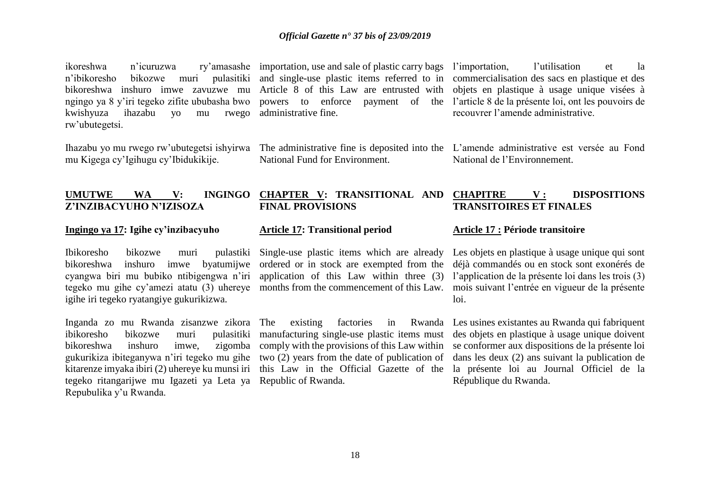n'ibikoresho bikozwe muri pulasitiki and single-use plastic items referred to in bikoreshwa inshuro imwe zavuzwe mu Article 8 of this Law are entrusted with kwishyuza ihazabu yo mu rw'ubutegetsi.

mu Kigega cy'Igihugu cy'Ibidukikije.

rwego administrative fine.

National Fund for Environment.

ikoreshwa n'icuruzwa ry'amasashe importation, use and sale of plastic carry bags l'importation, l'utilisation et la ngingo ya 8 y'iri tegeko zifite ububasha bwo powers to enforce payment of the l'article 8 de la présente loi, ont les pouvoirs de commercialisation des sacs en plastique et des objets en plastique à usage unique visées à recouvrer l'amende administrative.

Ihazabu yo mu rwego rw'ubutegetsi ishyirwa The administrative fine is deposited into the L'amende administrative est versée au Fond National de l'Environnement.

#### **UMUTWE WA V: INGINGO CHAPTER V: TRANSITIONAL AND Z'INZIBACYUHO N'IZISOZA FINAL PROVISIONS CHAPITRE V : DISPOSITIONS TRANSITOIRES ET FINALES**

# **Ingingo ya 17: Igihe cy'inzibacyuho**

Ibikoresho bikozwe muri pulastiki Single-use plastic items which are already bikoreshwa inshuro imwe cyangwa biri mu bubiko ntibigengwa n'iri application of this Law within three (3) igihe iri tegeko ryatangiye gukurikizwa.

Inganda zo mu Rwanda zisanzwe zikora ibikoresho bikozwe muri pulasitiki manufacturing single-use plastic items must bikoreshwa inshuro imwe, gukurikiza ibiteganywa n'iri tegeko mu gihe two (2) years from the date of publication of kitarenze imyaka ibiri (2) uhereye ku munsi iri this Law in the Official Gazette of the tegeko ritangarijwe mu Igazeti ya Leta ya Republic of Rwanda. Repubulika y'u Rwanda.

# **Article 17: Transitional period**

by a turnity by a cordered or in stock are exempted from the

zigomba comply with the provisions of this Law within

#### **Article 17 : Période transitoire**

tegeko mu gihe cy'amezi atatu (3) uhereye months from the commencement of this Law. mois suivant l'entrée en vigueur de la présente Les objets en plastique à usage unique qui sont déjà commandés ou en stock sont exonérés de l'application de la présente loi dans les trois (3) loi.

> The existing factories in Rwanda Les usines existantes au Rwanda qui fabriquent des objets en plastique à usage unique doivent se conformer aux dispositions de la présente loi dans les deux (2) ans suivant la publication de la présente loi au Journal Officiel de la République du Rwanda.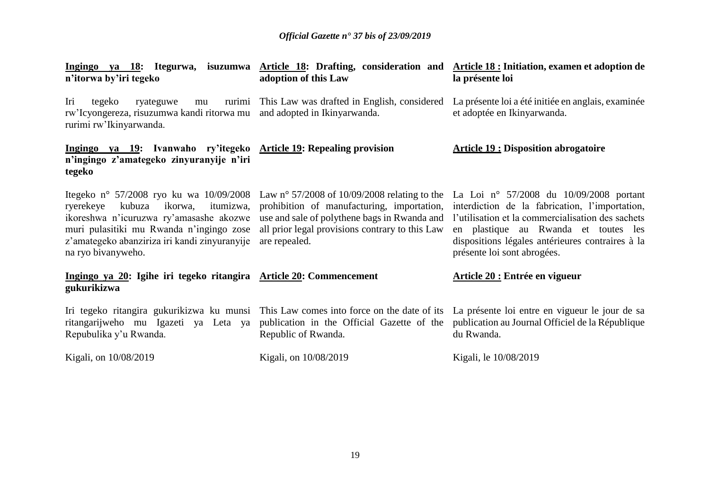| n'itorwa by'iri tegeko                                                                                                                                                                    | adoption of this Law                                                                                                                                                                                                                                             | Ingingo ya 18: Itegurwa, isuzumwa Article 18: Drafting, consideration and Article 18: Initiation, examen et adoption de<br>la présente loi                                                                                                                                  |
|-------------------------------------------------------------------------------------------------------------------------------------------------------------------------------------------|------------------------------------------------------------------------------------------------------------------------------------------------------------------------------------------------------------------------------------------------------------------|-----------------------------------------------------------------------------------------------------------------------------------------------------------------------------------------------------------------------------------------------------------------------------|
| Iri<br>tegeko<br>ryateguwe<br>mu<br>rw'Icyongereza, risuzumwa kandi ritorwa mu and adopted in Ikinyarwanda.<br>rurimi rw'Ikinyarwanda.                                                    | rurimi This Law was drafted in English, considered                                                                                                                                                                                                               | La présente loi a été initiée en anglais, examinée<br>et adoptée en Ikinyarwanda.                                                                                                                                                                                           |
| Ingingo ya 19: Ivanwaho ry'itegeko Article 19: Repealing provision<br>n'ingingo z'amategeko zinyuranyije n'iri<br>tegeko                                                                  |                                                                                                                                                                                                                                                                  | <b>Article 19 : Disposition abrogatoire</b>                                                                                                                                                                                                                                 |
| kubuza ikorwa,<br>ryerekeye<br>ikoreshwa n'icuruzwa ry'amasashe akozwe<br>muri pulasitiki mu Rwanda n'ingingo zose<br>z'amategeko abanziriza iri kandi zinyuranyije<br>na ryo bivanyweho. | Itegeko n° 57/2008 ryo ku wa 10/09/2008 Law n° 57/2008 of 10/09/2008 relating to the<br>itumizwa, prohibition of manufacturing, importation,<br>use and sale of polythene bags in Rwanda and<br>all prior legal provisions contrary to this Law<br>are repealed. | La Loi nº 57/2008 du $10/09/2008$ portant<br>interdiction de la fabrication, l'importation,<br>l'utilisation et la commercialisation des sachets<br>en plastique au Rwanda et toutes les<br>dispositions légales antérieures contraires à la<br>présente loi sont abrogées. |
| Ingingo ya 20: Igihe iri tegeko ritangira Article 20: Commencement<br>gukurikizwa                                                                                                         |                                                                                                                                                                                                                                                                  | Article 20 : Entrée en vigueur                                                                                                                                                                                                                                              |
| ritangarijweho mu Igazeti ya Leta ya<br>Repubulika y'u Rwanda.                                                                                                                            | Iri tegeko ritangira gukurikizwa ku munsi This Law comes into force on the date of its<br>publication in the Official Gazette of the<br>Republic of Rwanda.                                                                                                      | La présente loi entre en vigueur le jour de sa<br>publication au Journal Officiel de la République<br>du Rwanda.                                                                                                                                                            |
| Kigali, on 10/08/2019                                                                                                                                                                     | Kigali, on 10/08/2019                                                                                                                                                                                                                                            | Kigali, le 10/08/2019                                                                                                                                                                                                                                                       |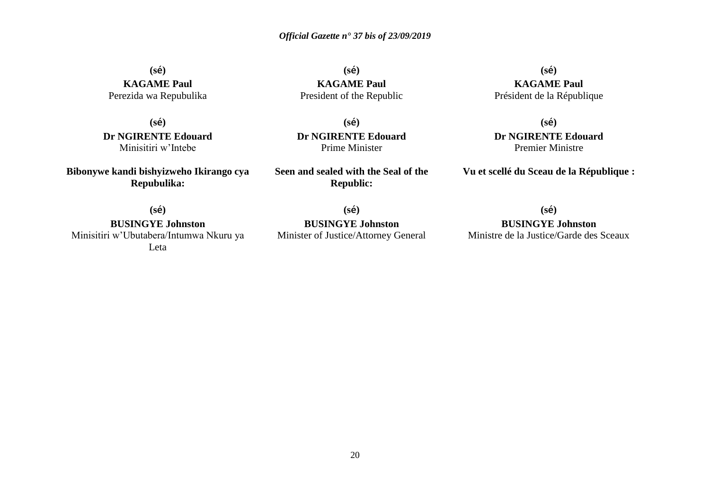**(sé) KAGAME Paul** Perezida wa Repubulika

**(sé) Dr NGIRENTE Edouard** Minisitiri w'Intebe

**Bibonywe kandi bishyizweho Ikirango cya Repubulika:**

**(sé) KAGAME Paul** President of the Republic

**(sé) Dr NGIRENTE Edouard** Prime Minister

**Seen and sealed with the Seal of the Republic:**

**(sé) KAGAME Paul** Président de la République

**(sé) Dr NGIRENTE Edouard** Premier Ministre

**Vu et scellé du Sceau de la République :**

**(sé)**

**BUSINGYE Johnston** Minisitiri w'Ubutabera/Intumwa Nkuru ya Leta

**(sé) BUSINGYE Johnston** Minister of Justice/Attorney General **(sé)**

**BUSINGYE Johnston** Ministre de la Justice/Garde des Sceaux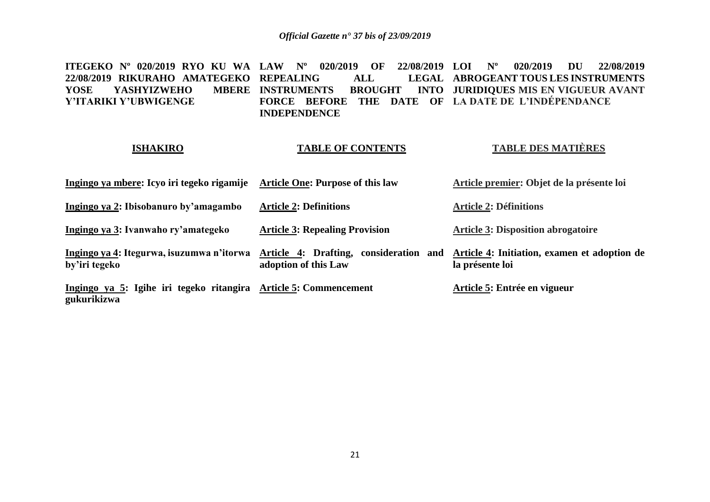**ITEGEKO Nº 020/2019 RYO KU WA LAW Nº 020/2019 OF 22/08/2019 LOI Nº 020/2019 DU 22/08/2019 22/08/2019 RIKURAHO AMATEGEKO REPEALING ALL LEGAL**  YOSE YASHYIZWEHO **Y'ITARIKI Y'UBWIGENGE INSTRUMENTS BROUGHT INTO JURIDIQUES MIS EN VIGUEUR AVANT FORCE BEFORE THE DATE OF LA DATE DE L'INDÉPENDANCE INDEPENDENCE ABROGEANT TOUS LES INSTRUMENTS** 

# **ISHAKIRO**

# **TABLE OF CONTENTS**

# **TABLE DES MATIÈRES**

| Ingingo ya mbere: Icyo iri tegeko rigamije                                      | <b>Article One: Purpose of this law</b> | Article premier: Objet de la présente loi                                                              |
|---------------------------------------------------------------------------------|-----------------------------------------|--------------------------------------------------------------------------------------------------------|
| Ingingo ya 2: Ibisobanuro by'amagambo                                           | <b>Article 2: Definitions</b>           | <b>Article 2: Définitions</b>                                                                          |
| Ingingo ya 3: Ivanwaho ry'amategeko                                             | <b>Article 3: Repealing Provision</b>   | <b>Article 3: Disposition abrogatoire</b>                                                              |
| Ingingo ya 4: Itegurwa, isuzumwa n'itorwa<br>by'iri tegeko                      | adoption of this Law                    | Article 4: Drafting, consideration and Article 4: Initiation, examen et adoption de<br>la présente loi |
| Ingingo ya 5: Igihe iri tegeko ritangira Article 5: Commencement<br>gukurikizwa |                                         | Article 5: Entrée en vigueur                                                                           |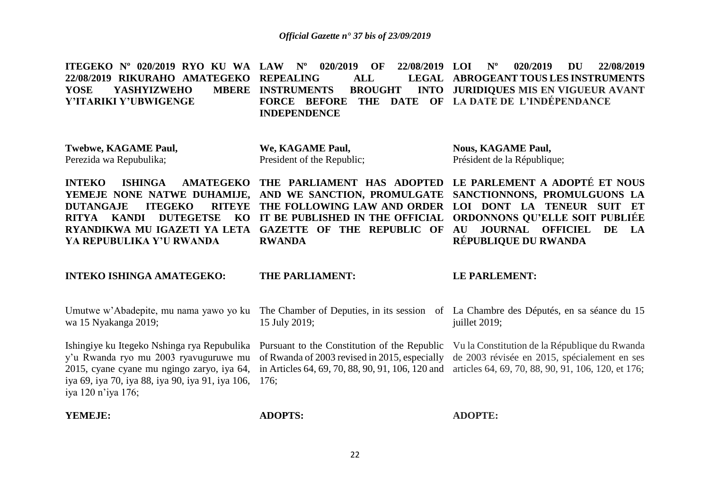**ITEGEKO Nº 020/2019 RYO KU WA LAW Nº 020/2019 OF 22/08/2019 LOI Nº 020/2019 DU 22/08/2019 22/08/2019 RIKURAHO AMATEGEKO REPEALING ALL LEGAL**  YOSE YASHYIZWEHO **Y'ITARIKI Y'UBWIGENGE INSTRUMENTS BROUGHT FORCE BEFORE THE DATE OF LA DATE DE L'INDÉPENDANCE INDEPENDENCE ABROGEANT TOUS LES INSTRUMENTS JURIDIQUES MIS EN VIGUEUR AVANT** 

**Twebwe, KAGAME Paul,** Perezida wa Repubulika;

**We, KAGAME Paul,** President of the Republic; **Nous, KAGAME Paul,** Président de la République;

**INTEKO ISHINGA AMATEGEKO THE PARLIAMENT HAS ADOPTED LE PARLEMENT A ADOPTÉ ET NOUS YEMEJE NONE NATWE DUHAMIJE, AND WE SANCTION, PROMULGATE SANCTIONNONS, PROMULGUONS LA DUTANGAJE ITEGEKO RITYA KANDI DUTEGETSE KO IT BE PUBLISHED IN THE OFFICIAL ORDONNONS QU'ELLE SOIT PUBLIÉE RYANDIKWA MU IGAZETI YA LETA GAZETTE OF THE REPUBLIC OF AU JOURNAL OFFICIEL DE LA YA REPUBULIKA Y'U RWANDA THE FOLLOWING LAW AND ORDER LOI DONT LA TENEUR SUIT ET RWANDA RÉPUBLIQUE DU RWANDA**

**INTEKO ISHINGA AMATEGEKO:**

#### **THE PARLIAMENT:**

#### **LE PARLEMENT:**

| wa 15 Nyakanga 2019;                                                        | 15 July 2019;  | Umutwe w'Abadepite, mu nama yawo yo ku The Chamber of Deputies, in its session of La Chambre des Députés, en sa séance du 15<br>juillet 2019;                                                                                                                                                                                                                                                                                |
|-----------------------------------------------------------------------------|----------------|------------------------------------------------------------------------------------------------------------------------------------------------------------------------------------------------------------------------------------------------------------------------------------------------------------------------------------------------------------------------------------------------------------------------------|
| iya 69, iya 70, iya 88, iya 90, iya 91, iya 106, 176;<br>iya 120 n'iya 176; |                | Ishingiye ku Itegeko Nshinga rya Repubulika Pursuant to the Constitution of the Republic Vu la Constitution de la République du Rwanda<br>y'u Rwanda ryo mu 2003 ryavuguruwe mu of Rwanda of 2003 revised in 2015, especially de 2003 révisée en 2015, spécialement en ses<br>2015, cyane cyane mu ngingo zaryo, iya 64, in Articles 64, 69, 70, 88, 90, 91, 106, 120 and articles 64, 69, 70, 88, 90, 91, 106, 120, et 176; |
| YEMEJE:                                                                     | <b>ADOPTS:</b> | <b>ADOPTE:</b>                                                                                                                                                                                                                                                                                                                                                                                                               |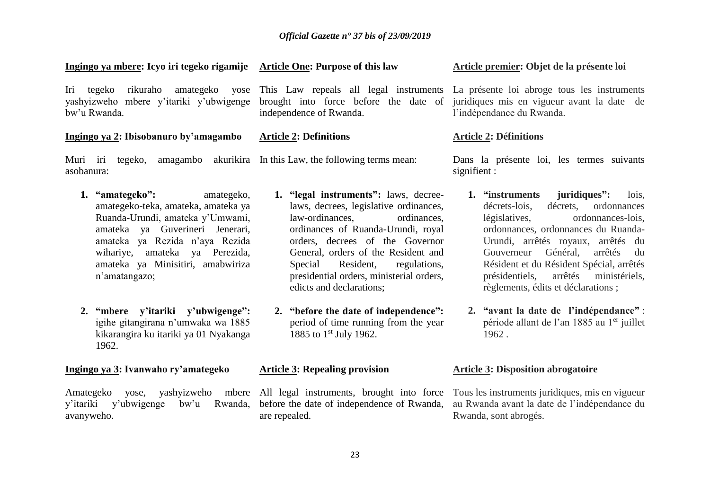# **Ingingo ya mbere: Icyo iri tegeko rigamije Article One: Purpose of this law**

Iri tegeko rikuraho amategeko yose This Law repeals all legal instruments yashyizweho mbere y'itariki y'ubwigenge bw'u Rwanda.

# **Ingingo ya 2: Ibisobanuro by'amagambo**

asobanura:

- **1. "amategeko":** amategeko, amategeko-teka, amateka, amateka ya Ruanda-Urundi, amateka y'Umwami, amateka ya Guverineri Jenerari, amateka ya Rezida n'aya Rezida wihariye, amateka ya Perezida, amateka ya Minisitiri, amabwiriza n'amatangazo;
- **2. "mbere y'itariki y'ubwigenge":**  igihe gitangirana n'umwaka wa 1885 kikarangira ku itariki ya 01 Nyakanga 1962.

# **Ingingo ya 3: Ivanwaho ry'amategeko**

Amategeko yose, yashyizweho y'itariki y'ubwigenge bw'u avanyweho.

brought into force before the date of independence of Rwanda.

# **Article 2: Definitions**

Muri iri tegeko, amagambo akurikira In this Law, the following terms mean:

- **1. "legal instruments":** laws, decreelaws, decrees, legislative ordinances, law-ordinances, ordinances, ordinances of Ruanda-Urundi, royal orders, decrees of the Governor General, orders of the Resident and Special Resident, regulations, presidential orders, ministerial orders, edicts and declarations;
- **2. "before the date of independence":**  period of time running from the year 1885 to 1<sup>st</sup> July 1962.

# **Article 3: Repealing provision**

All legal instruments, brought into force Rwanda, before the date of independence of Rwanda, are repealed.

# **Article premier: Objet de la présente loi**

La présente loi abroge tous les instruments juridiques mis en vigueur avant la date de l'indépendance du Rwanda.

# **Article 2: Définitions**

Dans la présente loi, les termes suivants signifient :

- **1. "instruments juridiques":** lois, décrets-lois, décrets, ordonnances législatives, ordonnances-lois, ordonnances, ordonnances du Ruanda-Urundi, arrêtés royaux, arrêtés du Gouverneur Général, arrêtés du Résident et du Résident Spécial, arrêtés présidentiels, arrêtés ministériels, règlements, édits et déclarations ;
- **2. "avant la date de l'indépendance"** : période allant de l'an 1885 au 1<sup>er</sup> juillet 1962 .

# **Article 3: Disposition abrogatoire**

Tous les instruments juridiques, mis en vigueur au Rwanda avant la date de l'indépendance du Rwanda, sont abrogés.